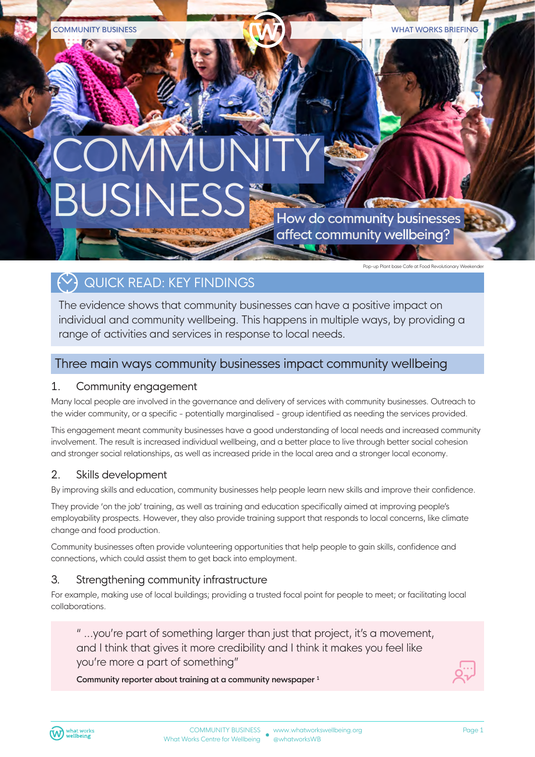# **COMMUNITY** How do community businesses affect community wellbeing?

Pop-up Plant base Cafe at Food Revolutionary Weekender

# $\leftrightarrow$ ) QUICK READ: KEY FINDINGS

The evidence shows that community businesses can have a positive impact on individual and community wellbeing. This happens in multiple ways, by providing a range of activities and services in response to local needs.

### Three main ways community businesses impact community wellbeing

### 1. Community engagement

Many local people are involved in the governance and delivery of services with community businesses. Outreach to the wider community, or a specific - potentially marginalised - group identified as needing the services provided.

This engagement meant community businesses have a good understanding of local needs and increased community involvement. The result is increased individual wellbeing, and a better place to live through better social cohesion and stronger social relationships, as well as increased pride in the local area and a stronger local economy.

### 2. Skills development

By improving skills and education, community businesses help people learn new skills and improve their confidence.

They provide 'on the job' training, as well as training and education specifically aimed at improving people's employability prospects. However, they also provide training support that responds to local concerns, like climate change and food production.

Community businesses often provide volunteering opportunities that help people to gain skills, confidence and connections, which could assist them to get back into employment.

### 3. Strengthening community infrastructure

For example, making use of local buildings; providing a trusted focal point for people to meet; or facilitating local collaborations.

" ...you're part of something larger than just that project, it's a movement, and I think that gives it more credibility and I think it makes you feel like you're more a part of something"

**Community reporter about training at a community newspaper 1**

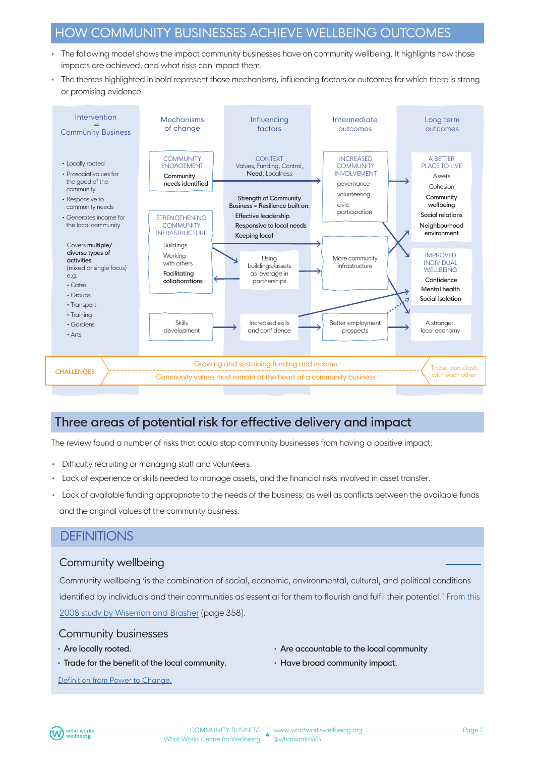## HOW COMMUNITY BUSINESSES ACHIEVE WELLBEING OUTCOMES

- The following model shows the impact community businesses have on community wellbeing. It highlights how those impacts are achieved, and what risks can impact them.
- The themes highlighted in bold represent those mechanisms, influencing factors or outcomes for which there is strong or promising evidence.



# Three areas of potential risk for effective delivery and impact

The review found a number of risks that could stop community businesses from having a positive impact:

- Difficulty recruiting or managing staff and volunteers.
- Lack of experience or skills needed to manage assets, and the financial risks involved in asset transfer.
- Lack of available funding appropriate to the needs of the business; as well as conflicts between the available funds and the original values of the community business.

### **DEFINITIONS**

### Community wellbeing

Community wellbeing 'is the combination of social, economic, environmental, cultural, and political conditions identified by individuals and their communities as essential for them to flourish and fulfil their potential.' From this [2008 study by Wiseman and](https://www.researchgate.net/publication/23169636_Community_Wellbeing_in_an_Unwell_World_Trends_Challenges_and_Possibilities) Brasher (page 358).

### Community businesses

- Are locally rooted.
- Trade for the benefit of the local community.

[Definition from Power to Change.](https://www.powertochange.org.uk/)

- Are accountable to the local community
- Have broad community impact.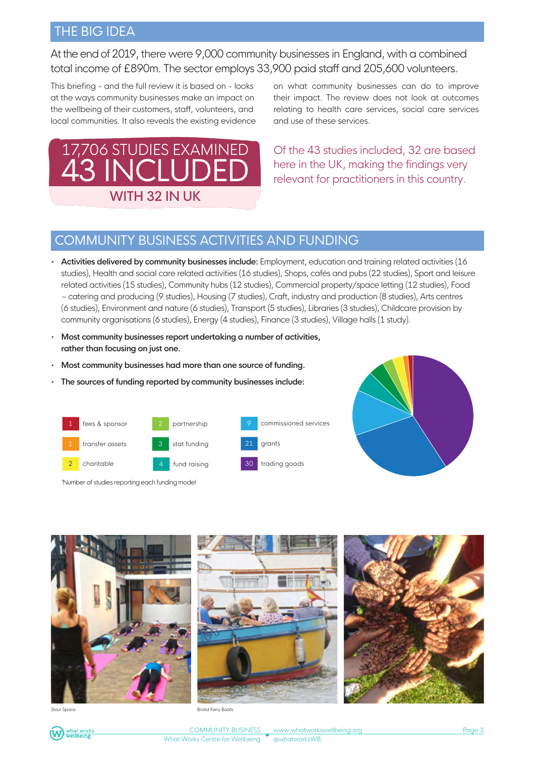### THE BIG IDEA

At the end of 2019, there were 9,000 community businesses in England, with a combined total income of £890m. The sector employs 33,900 paid staff and 205,600 volunteers.

This briefing - and the full review it is based on - looks at the ways community businesses make an impact on the wellbeing of their customers, staff, volunteers, and local communities. It also reveals the existing evidence



on what community businesses can do to improve their impact. The review does not look at outcomes relating to health care services, social care services and use of these services.

Of the 43 studies included, 32 are based here in the UK, making the findings very relevant for practitioners in this country.

# COMMUNITY BUSINESS ACTIVITIES AND FUNDING

- **Activities delivered by community businesses include:** Employment, education and training related activities (16 studies), Health and social care related activities (16 studies), Shops, cafés and pubs (22 studies), Sport and leisure related activities (15 studies), Community hubs (12 studies), Commercial property/space letting (12 studies), Food – catering and producing (9 studies), Housing (7 studies), Craft, industry and production (8 studies), Arts centres (6 studies), Environment and nature (6 studies), Transport (5 studies), Libraries (3 studies), Childcare provision by community organisations (6 studies), Energy (4 studies), Finance (3 studies), Village halls (1 study).
- **Most community businesses report undertaking a number of activities, rather than focusing on just one.**
- **Most community businesses had more than one source of funding.**
- **The sources of funding reported by community businesses include:**



'Number of studies reporting each funding model





**Bristol Ferry Boats** 

COMMUNITY BUSINESS What Works Centre for Wellbeing

www.whatworkswellbeing.org @whatworksWB

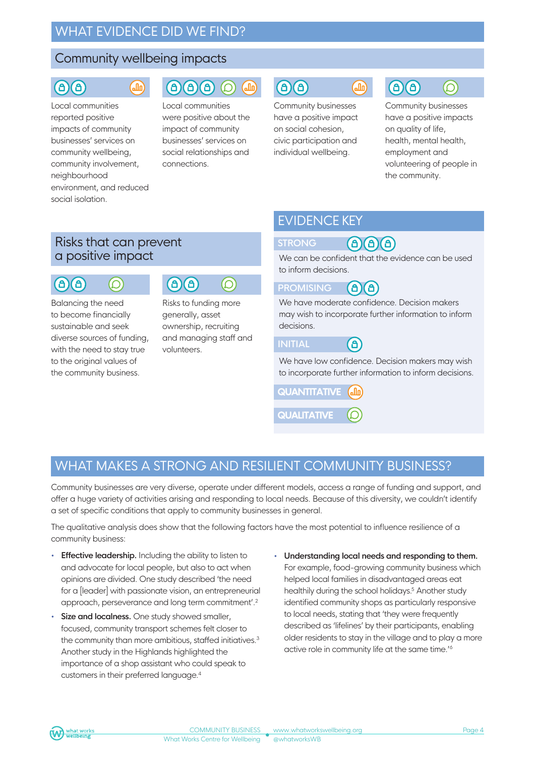## WHAT EVIDENCE DID WE FIND?

### Community wellbeing impacts

 $\overline{\mathsf{G}}$ 

### a a

Local communities reported positive impacts of community businesses' services on community wellbeing, community involvement, neighbourhood environment, and reduced social isolation.

### $\bigcirc$   $\bigcirc$   $\bigcirc$  $\binom{1}{2}$

Local communities were positive about the impact of community businesses' services on social relationships and connections.

# $\bigcirc$   $\bigcirc$

Community businesses have a positive impact on social cohesion, civic participation and individual wellbeing.

# $\bigcirc$   $\bigcirc$

 $\sqrt{d}$ 

Community businesses have a positive impacts on quality of life, health, mental health, employment and volunteering of people in the community.

 $\circledcirc$ 

### Risks that can prevent a positive impact

### (a)(a)  $\circledcirc$

Balancing the need to become financially sustainable and seek diverse sources of funding, with the need to stay true to the original values of the community business.



Risks to funding more generally, asset ownership, recruiting and managing staff and volunteers.

# EVIDENCE KEY

### **STRONG**  $\mathbf{a}$  $\mathbf{a}$

We can be confident that the evidence can be used to inform decisions.

#### **PROMISING** (6) â)

We have moderate confidence. Decision makers may wish to incorporate further information to inform decisions.

### **INITIAL** (a)

We have low confidence. Decision makers may wish to incorporate further information to inform decisions.

**QUANTITATIVE**  $\int_{a}$ **QUALITATIVE**

### WHAT MAKES A STRONG AND RESILIENT COMMUNITY BUSINESS?

Community businesses are very diverse, operate under different models, access a range of funding and support, and offer a huge variety of activities arising and responding to local needs. Because of this diversity, we couldn't identify a set of specific conditions that apply to community businesses in general.

The qualitative analysis does show that the following factors have the most potential to influence resilience of a community business:

- **Effective leadership.** Including the ability to listen to and advocate for local people, but also to act when opinions are divided. One study described 'the need for a [leader] with passionate vision, an entrepreneurial approach, perseverance and long term commitment'.2
- **Size and localness.** One study showed smaller, focused, community transport schemes felt closer to the community than more ambitious, staffed initiatives.<sup>3</sup> Another study in the Highlands highlighted the importance of a shop assistant who could speak to customers in their preferred language.4
- **Understanding local needs and responding to them.** For example, food-growing community business which helped local families in disadvantaged areas eat healthily during the school holidays.<sup>5</sup> Another study identified community shops as particularly responsive to local needs, stating that 'they were frequently described as 'lifelines' by their participants, enabling older residents to stay in the village and to play a more active role in community life at the same time.'<sup>6</sup>

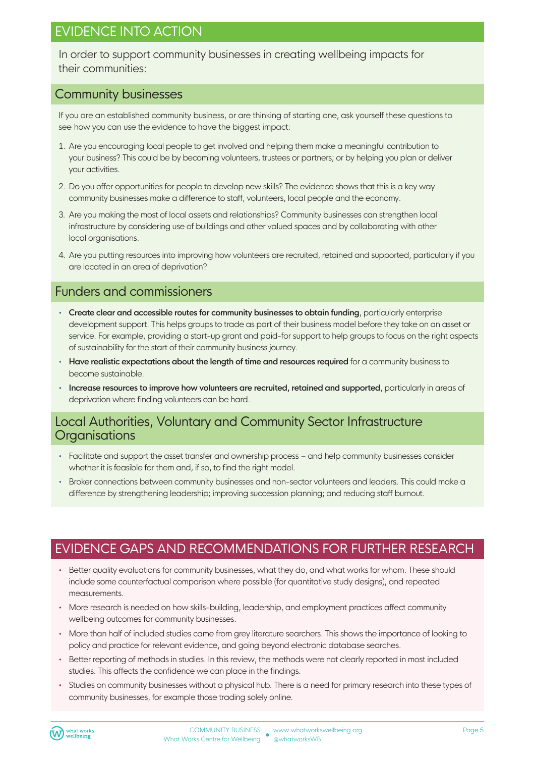# EVIDENCE INTO ACTION

In order to support community businesses in creating wellbeing impacts for their communities:

### Community businesses

If you are an established community business, or are thinking of starting one, ask yourself these questions to see how you can use the evidence to have the biggest impact:

- 1. Are you encouraging local people to get involved and helping them make a meaningful contribution to your business? This could be by becoming volunteers, trustees or partners; or by helping you plan or deliver your activities.
- 2. Do you offer opportunities for people to develop new skills? The evidence shows that this is a key way community businesses make a difference to staff, volunteers, local people and the economy.
- 3. Are you making the most of local assets and relationships? Community businesses can strengthen local infrastructure by considering use of buildings and other valued spaces and by collaborating with other local organisations.
- 4. Are you putting resources into improving how volunteers are recruited, retained and supported, particularly if you are located in an area of deprivation?

### Funders and commissioners

- **Create clear and accessible routes for community businesses to obtain funding**, particularly enterprise development support. This helps groups to trade as part of their business model before they take on an asset or service. For example, providing a start-up grant and paid-for support to help groups to focus on the right aspects of sustainability for the start of their community business journey.
- **Have realistic expectations about the length of time and resources required** for a community business to become sustainable.
- **Increase resources to improve how volunteers are recruited, retained and supported**, particularly in areas of deprivation where finding volunteers can be hard.

### Local Authorities, Voluntary and Community Sector Infrastructure **Organisations**

- Facilitate and support the asset transfer and ownership process and help community businesses consider whether it is feasible for them and, if so, to find the right model.
- Broker connections between community businesses and non-sector volunteers and leaders. This could make a difference by strengthening leadership; improving succession planning; and reducing staff burnout.

# EVIDENCE GAPS AND RECOMMENDATIONS FOR FURTHER RESEARCH

- Better quality evaluations for community businesses, what they do, and what works for whom. These should include some counterfactual comparison where possible (for quantitative study designs), and repeated measurements.
- More research is needed on how skills-building, leadership, and employment practices affect community wellbeing outcomes for community businesses.
- More than half of included studies came from grey literature searchers. This shows the importance of looking to policy and practice for relevant evidence, and going beyond electronic database searches.
- Better reporting of methods in studies. In this review, the methods were not clearly reported in most included studies. This affects the confidence we can place in the findings.
- Studies on community businesses without a physical hub. There is a need for primary research into these types of community businesses, for example those trading solely online.